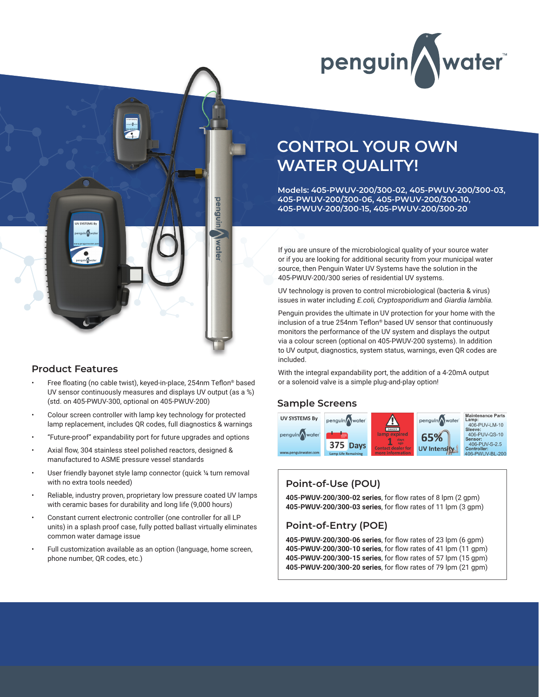



## **Product Features**

- Free floating (no cable twist), keyed-in-place, 254nm Teflon® based UV sensor continuously measures and displays UV output (as a %) (std. on 405-PWUV-300, optional on 405-PWUV-200)
- Colour screen controller with lamp key technology for protected lamp replacement, includes QR codes, full diagnostics & warnings
- "Future-proof" expandability port for future upgrades and options
- Axial flow, 304 stainless steel polished reactors, designed & manufactured to ASME pressure vessel standards
- User friendly bayonet style lamp connector (quick 1/4 turn removal with no extra tools needed)
- Reliable, industry proven, proprietary low pressure coated UV lamps with ceramic bases for durability and long life (9,000 hours)
- Constant current electronic controller (one controller for all LP units) in a splash proof case, fully potted ballast virtually eliminates common water damage issue
- Full customization available as an option (language, home screen, phone number, QR codes, etc.)

# **CONTROL YOUR OWN WATER QUALITY!**

**Models: 405-PWUV-200/300-02, 405-PWUV-200/300-03, 405-PWUV-200/300-06, 405-PWUV-200/300-10, 405-PWUV-200/300-15, 405-PWUV-200/300-20**

If you are unsure of the microbiological quality of your source water or if you are looking for additional security from your municipal water source, then Penguin Water UV Systems have the solution in the 405-PWUV-200/300 series of residential UV systems.

UV technology is proven to control microbiological (bacteria & virus) issues in water including E.coli, Cryptosporidium and Giardia lamblia.

Penguin provides the ultimate in UV protection for your home with the inclusion of a true 254nm Teflon® based UV sensor that continuously monitors the performance of the UV system and displays the output via a colour screen (optional on 405-PWUV-200 systems). In addition to UV output, diagnostics, system status, warnings, even QR codes are included.

With the integral expandability port, the addition of a 4-20mA output or a solenoid valve is a simple plug-and-play option!

## **Sample Screens**



# **Point-of-Use (POU)**

**405-PWUV-200/300-02 series**, for flow rates of 8 lpm (2 gpm) **405-PWUV-200/300-03 series**, for flow rates of 11 lpm (3 gpm)

# **Point-of-Entry (POE)**

**405-PWUV-200/300-06 series**, for flow rates of 23 lpm (6 gpm) **405-PWUV-200/300-10 series**, for flow rates of 41 lpm (11 gpm) **405-PWUV-200/300-15 series**, for flow rates of 57 lpm (15 gpm) **405-PWUV-200/300-20 series**, for flow rates of 79 lpm (21 gpm)